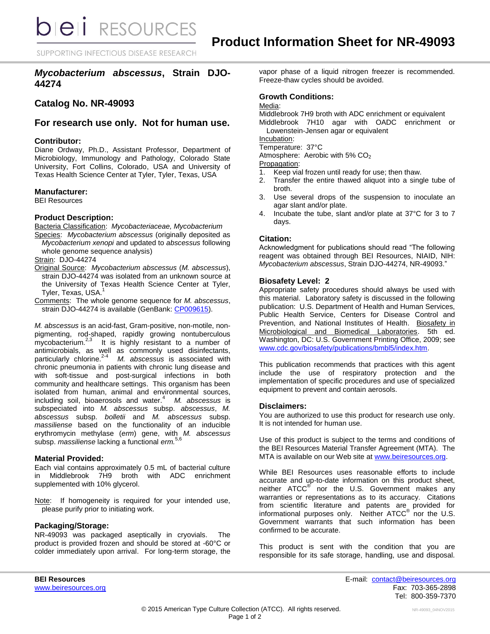**bieli** RESOURCES

SUPPORTING INFECTIOUS DISEASE RESEARCH

# *Mycobacterium abscessus***, Strain DJO-44274**

# **Catalog No. NR-49093**

## **For research use only. Not for human use.**

## **Contributor:**

Diane Ordway, Ph.D., Assistant Professor, Department of Microbiology, Immunology and Pathology, Colorado State University, Fort Collins, Colorado, USA and University of Texas Health Science Center at Tyler, Tyler, Texas, USA

## **Manufacturer:**

BEI Resources

## **Product Description:**

Bacteria Classification: *Mycobacteriaceae, Mycobacterium*

Species: *Mycobacterium abscessus* (originally deposited as *Mycobacterium xenopi* and updated to *abscessus* following whole genome sequence analysis)

#### Strain: DJO-44274

- Original Source: *Mycobacterium abscessus* (*M. abscessus*), strain DJO-44274 was isolated from an unknown source at the University of Texas Health Science Center at Tyler, Tyler, Texas, USA.<sup>1</sup>
- Comments: The whole genome sequence for *M. abscessus*, strain DJO-44274 is available (GenBank: [CP009615\)](http://www.ncbi.nlm.nih.gov/nuccore/CP009615).

*M. abscessus* is an acid-fast, Gram-positive, non-motile, nonpigmenting, rod-shaped, rapidly growing nontuberculous mycobacterium. $2^3$  It is highly resistant to a number of antimicrobials, as well as commonly used disinfectants, particularly chlorine.2-4 *M. abscessus* is associated with chronic pneumonia in patients with chronic lung disease and with soft-tissue and post-surgical infections in both community and healthcare settings. This organism has been isolated from human, animal and environmental sources, including soil, bioaerosols and water.<sup>4</sup> *M. abscessus* is subspeciated into *M. abscessus* subsp. *abscessus*, *M. abscessus* subsp. *bolletii* and *M. abscessus* subsp. *massiliense* based on the functionality of an inducible erythromycin methylase (*erm*) gene, with *M. abscessus* subsp. *massiliense* lacking a functional *erm.*5,6

## **Material Provided:**

Each vial contains approximately 0.5 mL of bacterial culture in Middlebrook 7H9 broth with ADC enrichment supplemented with 10% glycerol.

Note: If homogeneity is required for your intended use, please purify prior to initiating work.

#### **Packaging/Storage:**

NR-49093 was packaged aseptically in cryovials. The product is provided frozen and should be stored at -60°C or colder immediately upon arrival. For long-term storage, the vapor phase of a liquid nitrogen freezer is recommended. Freeze-thaw cycles should be avoided.

## **Growth Conditions:**

## Media:

Middlebrook 7H9 broth with ADC enrichment or equivalent Middlebrook 7H10 agar with OADC enrichment or

Lowenstein-Jensen agar or equivalent

Incubation:

Temperature: 37°C

Atmosphere: Aerobic with 5% CO<sub>2</sub>

Propagation:

- 1. Keep vial frozen until ready for use; then thaw.
- 2. Transfer the entire thawed aliquot into a single tube of broth.
- 3. Use several drops of the suspension to inoculate an agar slant and/or plate.
- 4. Incubate the tube, slant and/or plate at 37°C for 3 to 7 days.

## **Citation:**

Acknowledgment for publications should read "The following reagent was obtained through BEI Resources, NIAID, NIH: *Mycobacterium abscessus*, Strain DJO-44274, NR-49093."

## **Biosafety Level: 2**

Appropriate safety procedures should always be used with this material. Laboratory safety is discussed in the following publication: U.S. Department of Health and Human Services, Public Health Service, Centers for Disease Control and Prevention, and National Institutes of Health. Biosafety in Microbiological and Biomedical Laboratories. 5th ed. Washington, DC: U.S. Government Printing Office, 2009; see [www.cdc.gov/biosafety/publications/bmbl5/index.htm.](http://www.cdc.gov/biosafety/publications/bmbl5/index.htm)

This publication recommends that practices with this agent include the use of respiratory protection and the implementation of specific procedures and use of specialized equipment to prevent and contain aerosols.

#### **Disclaimers:**

You are authorized to use this product for research use only. It is not intended for human use.

Use of this product is subject to the terms and conditions of the BEI Resources Material Transfer Agreement (MTA). The MTA is available on our Web site at [www.beiresources.org.](http://www.beiresources.org/)

While BEI Resources uses reasonable efforts to include accurate and up-to-date information on this product sheet, neither ATCC<sup>®</sup> nor the U.S. Government makes any warranties or representations as to its accuracy. Citations from scientific literature and patents are provided for informational purposes only. Neither  $\tt{ATCC}^{\circledR}$  nor the U.S. Government warrants that such information has been confirmed to be accurate.

This product is sent with the condition that you are responsible for its safe storage, handling, use and disposal.